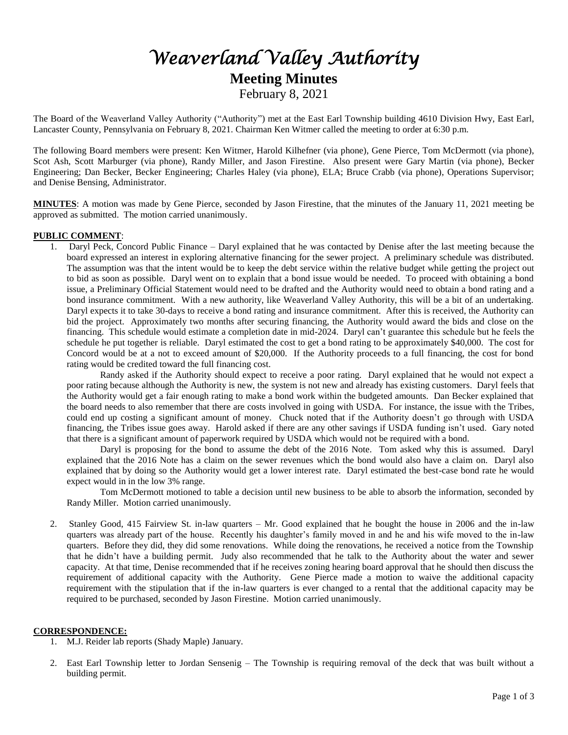# *Weaverland Valley Authority*  **Meeting Minutes** February 8, 2021

The Board of the Weaverland Valley Authority ("Authority") met at the East Earl Township building 4610 Division Hwy, East Earl, Lancaster County, Pennsylvania on February 8, 2021. Chairman Ken Witmer called the meeting to order at 6:30 p.m.

The following Board members were present: Ken Witmer, Harold Kilhefner (via phone), Gene Pierce, Tom McDermott (via phone), Scot Ash, Scott Marburger (via phone), Randy Miller, and Jason Firestine. Also present were Gary Martin (via phone), Becker Engineering; Dan Becker, Becker Engineering; Charles Haley (via phone), ELA; Bruce Crabb (via phone), Operations Supervisor; and Denise Bensing, Administrator.

**MINUTES**: A motion was made by Gene Pierce, seconded by Jason Firestine, that the minutes of the January 11, 2021 meeting be approved as submitted. The motion carried unanimously.

## **PUBLIC COMMENT**:

1. Daryl Peck, Concord Public Finance – Daryl explained that he was contacted by Denise after the last meeting because the board expressed an interest in exploring alternative financing for the sewer project. A preliminary schedule was distributed. The assumption was that the intent would be to keep the debt service within the relative budget while getting the project out to bid as soon as possible. Daryl went on to explain that a bond issue would be needed. To proceed with obtaining a bond issue, a Preliminary Official Statement would need to be drafted and the Authority would need to obtain a bond rating and a bond insurance commitment. With a new authority, like Weaverland Valley Authority, this will be a bit of an undertaking. Daryl expects it to take 30-days to receive a bond rating and insurance commitment. After this is received, the Authority can bid the project. Approximately two months after securing financing, the Authority would award the bids and close on the financing. This schedule would estimate a completion date in mid-2024. Daryl can't guarantee this schedule but he feels the schedule he put together is reliable. Daryl estimated the cost to get a bond rating to be approximately \$40,000. The cost for Concord would be at a not to exceed amount of \$20,000. If the Authority proceeds to a full financing, the cost for bond rating would be credited toward the full financing cost.

Randy asked if the Authority should expect to receive a poor rating. Daryl explained that he would not expect a poor rating because although the Authority is new, the system is not new and already has existing customers. Daryl feels that the Authority would get a fair enough rating to make a bond work within the budgeted amounts. Dan Becker explained that the board needs to also remember that there are costs involved in going with USDA. For instance, the issue with the Tribes, could end up costing a significant amount of money. Chuck noted that if the Authority doesn't go through with USDA financing, the Tribes issue goes away. Harold asked if there are any other savings if USDA funding isn't used. Gary noted that there is a significant amount of paperwork required by USDA which would not be required with a bond.

Daryl is proposing for the bond to assume the debt of the 2016 Note. Tom asked why this is assumed. Daryl explained that the 2016 Note has a claim on the sewer revenues which the bond would also have a claim on. Daryl also explained that by doing so the Authority would get a lower interest rate. Daryl estimated the best-case bond rate he would expect would in in the low 3% range.

Tom McDermott motioned to table a decision until new business to be able to absorb the information, seconded by Randy Miller. Motion carried unanimously.

2. Stanley Good, 415 Fairview St. in-law quarters – Mr. Good explained that he bought the house in 2006 and the in-law quarters was already part of the house. Recently his daughter's family moved in and he and his wife moved to the in-law quarters. Before they did, they did some renovations. While doing the renovations, he received a notice from the Township that he didn't have a building permit. Judy also recommended that he talk to the Authority about the water and sewer capacity. At that time, Denise recommended that if he receives zoning hearing board approval that he should then discuss the requirement of additional capacity with the Authority. Gene Pierce made a motion to waive the additional capacity requirement with the stipulation that if the in-law quarters is ever changed to a rental that the additional capacity may be required to be purchased, seconded by Jason Firestine. Motion carried unanimously.

# **CORRESPONDENCE:**

- 1. M.J. Reider lab reports (Shady Maple) January.
- 2. East Earl Township letter to Jordan Sensenig The Township is requiring removal of the deck that was built without a building permit.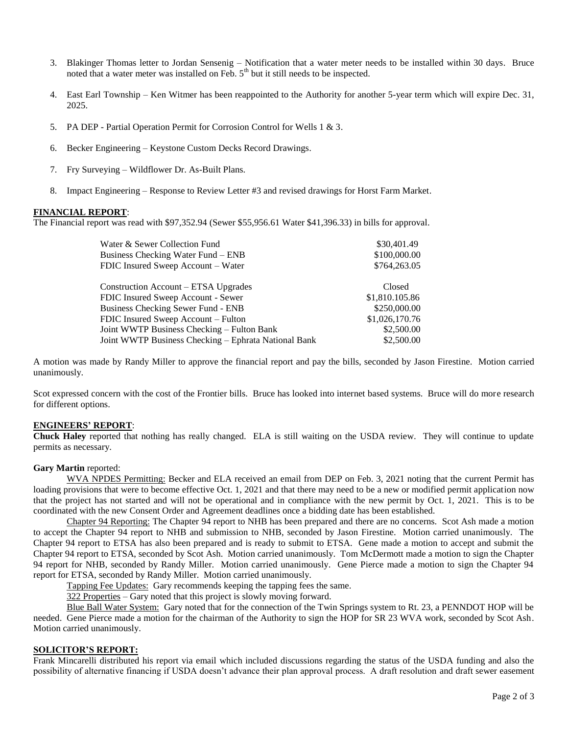- 3. Blakinger Thomas letter to Jordan Sensenig Notification that a water meter needs to be installed within 30 days. Bruce noted that a water meter was installed on Feb. 5<sup>th</sup> but it still needs to be inspected.
- 4. East Earl Township Ken Witmer has been reappointed to the Authority for another 5-year term which will expire Dec. 31, 2025.
- 5. PA DEP Partial Operation Permit for Corrosion Control for Wells 1 & 3.
- 6. Becker Engineering Keystone Custom Decks Record Drawings.
- 7. Fry Surveying Wildflower Dr. As-Built Plans.
- 8. Impact Engineering Response to Review Letter #3 and revised drawings for Horst Farm Market.

#### **FINANCIAL REPORT**:

The Financial report was read with \$97,352.94 (Sewer \$55,956.61 Water \$41,396.33) in bills for approval.

| Water & Sewer Collection Fund<br>Business Checking Water Fund – ENB<br>FDIC Insured Sweep Account - Water | \$30,401.49<br>\$100,000.00<br>\$764,263.05 |
|-----------------------------------------------------------------------------------------------------------|---------------------------------------------|
|                                                                                                           |                                             |
| Construction Account – ETSA Upgrades                                                                      | Closed                                      |
| FDIC Insured Sweep Account - Sewer                                                                        | \$1,810.105.86                              |
| <b>Business Checking Sewer Fund - ENB</b>                                                                 | \$250,000.00                                |
| FDIC Insured Sweep Account - Fulton                                                                       | \$1,026,170.76                              |
| Joint WWTP Business Checking – Fulton Bank                                                                | \$2,500.00                                  |
| Joint WWTP Business Checking - Ephrata National Bank                                                      | \$2,500.00                                  |
|                                                                                                           |                                             |

A motion was made by Randy Miller to approve the financial report and pay the bills, seconded by Jason Firestine. Motion carried unanimously.

Scot expressed concern with the cost of the Frontier bills. Bruce has looked into internet based systems. Bruce will do more research for different options.

#### **ENGINEERS' REPORT**:

**Chuck Haley** reported that nothing has really changed. ELA is still waiting on the USDA review. They will continue to update permits as necessary.

#### **Gary Martin** reported:

WVA NPDES Permitting: Becker and ELA received an email from DEP on Feb. 3, 2021 noting that the current Permit has loading provisions that were to become effective Oct. 1, 2021 and that there may need to be a new or modified permit application now that the project has not started and will not be operational and in compliance with the new permit by Oct. 1, 2021. This is to be coordinated with the new Consent Order and Agreement deadlines once a bidding date has been established.

Chapter 94 Reporting: The Chapter 94 report to NHB has been prepared and there are no concerns. Scot Ash made a motion to accept the Chapter 94 report to NHB and submission to NHB, seconded by Jason Firestine. Motion carried unanimously. The Chapter 94 report to ETSA has also been prepared and is ready to submit to ETSA. Gene made a motion to accept and submit the Chapter 94 report to ETSA, seconded by Scot Ash. Motion carried unanimously. Tom McDermott made a motion to sign the Chapter 94 report for NHB, seconded by Randy Miller. Motion carried unanimously. Gene Pierce made a motion to sign the Chapter 94 report for ETSA, seconded by Randy Miller. Motion carried unanimously.

Tapping Fee Updates: Gary recommends keeping the tapping fees the same.

322 Properties – Gary noted that this project is slowly moving forward.

Blue Ball Water System: Gary noted that for the connection of the Twin Springs system to Rt. 23, a PENNDOT HOP will be needed. Gene Pierce made a motion for the chairman of the Authority to sign the HOP for SR 23 WVA work, seconded by Scot Ash. Motion carried unanimously.

# **SOLICITOR'S REPORT:**

Frank Mincarelli distributed his report via email which included discussions regarding the status of the USDA funding and also the possibility of alternative financing if USDA doesn't advance their plan approval process. A draft resolution and draft sewer easement